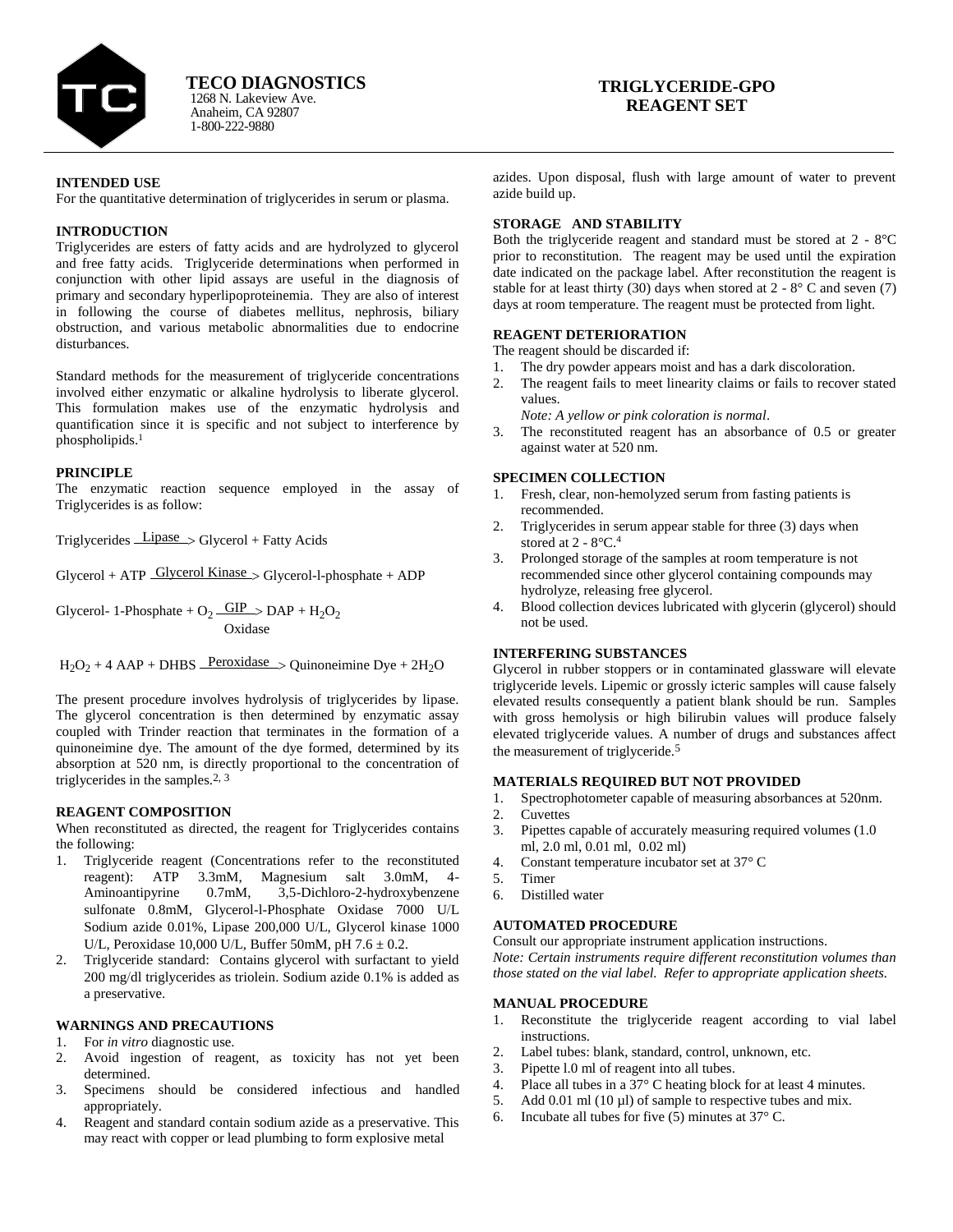

Anaheim, CA 92807 1-800-222-9880 1268 N. Lakeview Ave. **TECO DIAGNOSTICS**

# **TRIGLYCERIDE-GPO REAGENT SET**

### **INTENDED USE**

For the quantitative determination of triglycerides in serum or plasma.

### **INTRODUCTION**

Triglycerides are esters of fatty acids and are hydrolyzed to glycerol and free fatty acids. Triglyceride determinations when performed in conjunction with other lipid assays are useful in the diagnosis of primary and secondary hyperlipoproteinemia. They are also of interest in following the course of diabetes mellitus, nephrosis, biliary obstruction, and various metabolic abnormalities due to endocrine disturbances.

Standard methods for the measurement of triglyceride concentrations involved either enzymatic or alkaline hydrolysis to liberate glycerol. This formulation makes use of the enzymatic hydrolysis and quantification since it is specific and not subject to interference by phospholipids.<sup>1</sup>

#### **PRINCIPLE**

The enzymatic reaction sequence employed in the assay of Triglycerides is as follow:

Triglycerides Lipase Glycerol + Fatty Acids

 $Glycerol + ATP$   $Glycerol$  Kinase  $\gt$   $Glycerol-1$ -phosphate + ADP

Glycerol- 1-Phosphate +  $O_2$   $\frac{GIP}{d}$  > DAP +  $H_2O_2$ Oxidase

 $H_2O_2 + 4$  AAP + DHBS Peroxidase  $>$  Quinoneimine Dye + 2H<sub>2</sub>O

The present procedure involves hydrolysis of triglycerides by lipase. The glycerol concentration is then determined by enzymatic assay coupled with Trinder reaction that terminates in the formation of a quinoneimine dye. The amount of the dye formed, determined by its absorption at 520 nm, is directly proportional to the concentration of triglycerides in the samples.2, 3

#### **REAGENT COMPOSITION**

When reconstituted as directed, the reagent for Triglycerides contains the following:

- 1. Triglyceride reagent (Concentrations refer to the reconstituted reagent): ATP 3.3mM, Magnesium salt 3.0mM, 4- Aminoantipyrine 0.7mM, 3,5-Dichloro-2-hydroxybenzene sulfonate 0.8mM, Glycerol-l-Phosphate Oxidase 7000 U/L Sodium azide 0.01%, Lipase 200,000 U/L, Glycerol kinase 1000 U/L, Peroxidase 10,000 U/L, Buffer 50mM, pH  $7.6 \pm 0.2$ .
- 2. Triglyceride standard: Contains glycerol with surfactant to yield  $200 \text{ mg/dl}$  triglycerides as triolein. Sodium azide  $0.1\%$  is added as a preservative.

#### **WARNINGS AND PRECAUTIONS**

- 1. For *in vitro* diagnostic use.
- 2. Avoid ingestion of reagent, as toxicity has not yet been determined.
- 3. Specimens should be considered infectious and handled appropriately.
- 4. Reagent and standard contain sodium azide as a preservative. This may react with copper or lead plumbing to form explosive metal

azides. Upon disposal, flush with large amount of water to prevent azide build up.

## **STORAGE AND STABILITY**

Both the triglyceride reagent and standard must be stored at 2 - 8°C prior to reconstitution. The reagent may be used until the expiration date indicated on the package label. After reconstitution the reagent is stable for at least thirty (30) days when stored at  $2 - 8^\circ$  C and seven (7) days at room temperature. The reagent must be protected from light.

### **REAGENT DETERIORATION**

- The reagent should be discarded if:
- 1. The dry powder appears moist and has a dark discoloration.
- 2. The reagent fails to meet linearity claims or fails to recover stated values.

*Note: A yellow or pink coloration is normal*.

The reconstituted reagent has an absorbance of 0.5 or greater against water at 520 nm.

### **SPECIMEN COLLECTION**

- 1. Fresh, clear, non-hemolyzed serum from fasting patients is recommended.
- 2. Triglycerides in serum appear stable for three (3) days when stored at  $2 - 8$ °C.<sup>4</sup>
- 3. Prolonged storage of the samples at room temperature is not recommended since other glycerol containing compounds may hydrolyze, releasing free glycerol.
- 4. Blood collection devices lubricated with glycerin (glycerol) should not be used.

# **INTERFERING SUBSTANCES**

Glycerol in rubber stoppers or in contaminated glassware will elevate triglyceride levels. Lipemic or grossly icteric samples will cause falsely elevated results consequently a patient blank should be run. Samples with gross hemolysis or high bilirubin values will produce falsely elevated triglyceride values. A number of drugs and substances affect the measurement of triglyceride.<sup>5</sup>

#### **MATERIALS REQUIRED BUT NOT PROVIDED**

- 1. Spectrophotometer capable of measuring absorbances at 520nm.
- 2. Cuvettes
- 3. Pipettes capable of accurately measuring required volumes (1.0 ml, 2.0 ml, 0.01 ml, 0.02 ml)
- 4. Constant temperature incubator set at 37° C
- 5. Timer
- 6. Distilled water

### **AUTOMATED PROCEDURE**

Consult our appropriate instrument application instructions. *Note: Certain instruments require different reconstitution volumes than* 

*those stated on the vial label. Refer to appropriate application sheets.*

#### **MANUAL PROCEDURE**

- 1. Reconstitute the triglyceride reagent according to vial label instructions.
- 2. Label tubes: blank, standard, control, unknown, etc.
- 3. Pipette l.0 ml of reagent into all tubes.
- 4. Place all tubes in a 37° C heating block for at least 4 minutes.
- 5. Add 0.01 ml (10 µl) of sample to respective tubes and mix.
- 6. Incubate all tubes for five  $(5)$  minutes at  $37^{\circ}$  C.